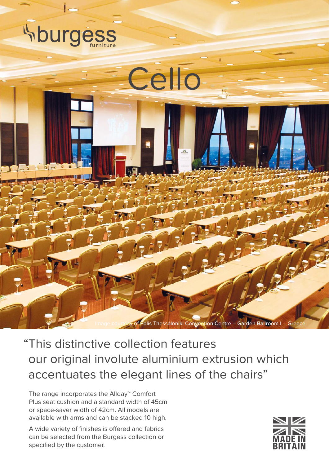

"This distinctive collection features our original involute aluminium extrusion which accentuates the elegant lines of the chairs"

The range incorporates the Allday™ Comfort Plus seat cushion and a standard width of 45cm or space-saver width of 42cm. All models are available with arms and can be stacked 10 high.

A wide variety of finishes is offered and fabrics can be selected from the Burgess collection or specified by the customer.